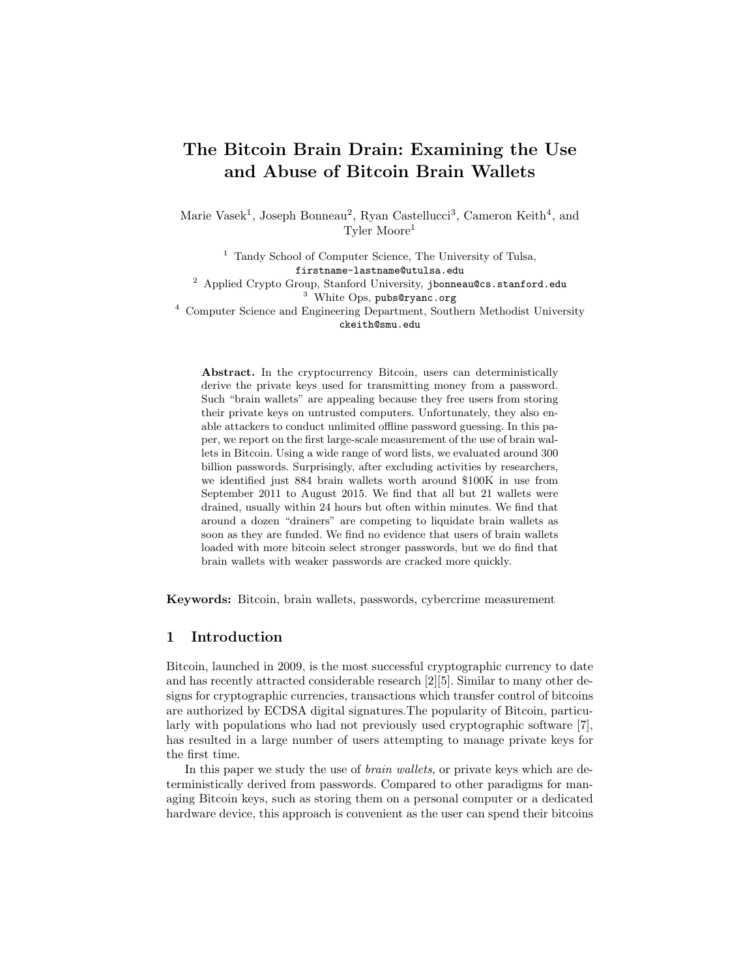# The Bitcoin Brain Drain: Examining the Use and Abuse of Bitcoin Brain Wallets

Marie Vasek<sup>1</sup>, Joseph Bonneau<sup>2</sup>, Ryan Castellucci<sup>3</sup>, Cameron Keith<sup>4</sup>, and Tyler Moore<sup>1</sup>

<sup>1</sup> Tandy School of Computer Science, The University of Tulsa, firstname-lastname@utulsa.edu <sup>2</sup> Applied Crypto Group, Stanford University, jbonneau@cs.stanford.edu <sup>3</sup> White Ops, pubs@ryanc.org

<sup>4</sup> Computer Science and Engineering Department, Southern Methodist University ckeith@smu.edu

Abstract. In the cryptocurrency Bitcoin, users can deterministically derive the private keys used for transmitting money from a password. Such "brain wallets" are appealing because they free users from storing their private keys on untrusted computers. Unfortunately, they also enable attackers to conduct unlimited offline password guessing. In this paper, we report on the first large-scale measurement of the use of brain wallets in Bitcoin. Using a wide range of word lists, we evaluated around 300 billion passwords. Surprisingly, after excluding activities by researchers, we identified just 884 brain wallets worth around \$100K in use from September 2011 to August 2015. We find that all but 21 wallets were drained, usually within 24 hours but often within minutes. We find that around a dozen "drainers" are competing to liquidate brain wallets as soon as they are funded. We find no evidence that users of brain wallets loaded with more bitcoin select stronger passwords, but we do find that brain wallets with weaker passwords are cracked more quickly.

Keywords: Bitcoin, brain wallets, passwords, cybercrime measurement

#### 1 Introduction

Bitcoin, launched in 2009, is the most successful cryptographic currency to date and has recently attracted considerable research [2][5]. Similar to many other designs for cryptographic currencies, transactions which transfer control of bitcoins are authorized by ECDSA digital signatures.The popularity of Bitcoin, particularly with populations who had not previously used cryptographic software [7], has resulted in a large number of users attempting to manage private keys for the first time.

In this paper we study the use of brain wallets, or private keys which are deterministically derived from passwords. Compared to other paradigms for managing Bitcoin keys, such as storing them on a personal computer or a dedicated hardware device, this approach is convenient as the user can spend their bitcoins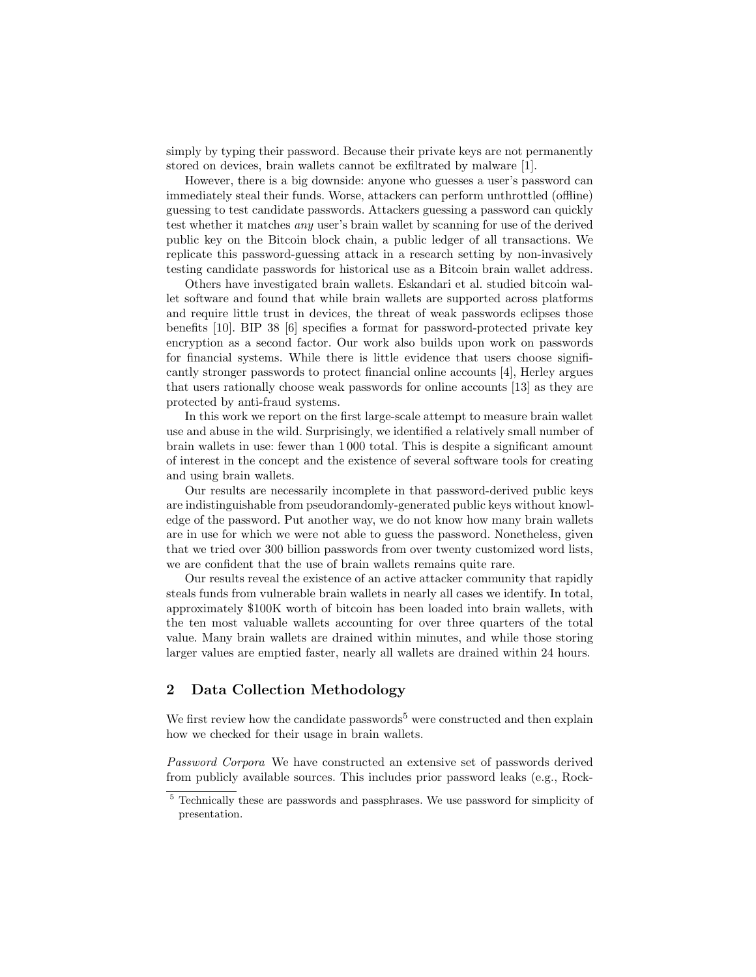simply by typing their password. Because their private keys are not permanently stored on devices, brain wallets cannot be exfiltrated by malware [1].

However, there is a big downside: anyone who guesses a user's password can immediately steal their funds. Worse, attackers can perform unthrottled (offline) guessing to test candidate passwords. Attackers guessing a password can quickly test whether it matches any user's brain wallet by scanning for use of the derived public key on the Bitcoin block chain, a public ledger of all transactions. We replicate this password-guessing attack in a research setting by non-invasively testing candidate passwords for historical use as a Bitcoin brain wallet address.

Others have investigated brain wallets. Eskandari et al. studied bitcoin wallet software and found that while brain wallets are supported across platforms and require little trust in devices, the threat of weak passwords eclipses those benefits [10]. BIP 38 [6] specifies a format for password-protected private key encryption as a second factor. Our work also builds upon work on passwords for financial systems. While there is little evidence that users choose significantly stronger passwords to protect financial online accounts [4], Herley argues that users rationally choose weak passwords for online accounts [13] as they are protected by anti-fraud systems.

In this work we report on the first large-scale attempt to measure brain wallet use and abuse in the wild. Surprisingly, we identified a relatively small number of brain wallets in use: fewer than 1 000 total. This is despite a significant amount of interest in the concept and the existence of several software tools for creating and using brain wallets.

Our results are necessarily incomplete in that password-derived public keys are indistinguishable from pseudorandomly-generated public keys without knowledge of the password. Put another way, we do not know how many brain wallets are in use for which we were not able to guess the password. Nonetheless, given that we tried over 300 billion passwords from over twenty customized word lists, we are confident that the use of brain wallets remains quite rare.

Our results reveal the existence of an active attacker community that rapidly steals funds from vulnerable brain wallets in nearly all cases we identify. In total, approximately \$100K worth of bitcoin has been loaded into brain wallets, with the ten most valuable wallets accounting for over three quarters of the total value. Many brain wallets are drained within minutes, and while those storing larger values are emptied faster, nearly all wallets are drained within 24 hours.

## 2 Data Collection Methodology

We first review how the candidate passwords<sup>5</sup> were constructed and then explain how we checked for their usage in brain wallets.

Password Corpora We have constructed an extensive set of passwords derived from publicly available sources. This includes prior password leaks (e.g., Rock-

<sup>&</sup>lt;sup>5</sup> Technically these are passwords and passphrases. We use password for simplicity of presentation.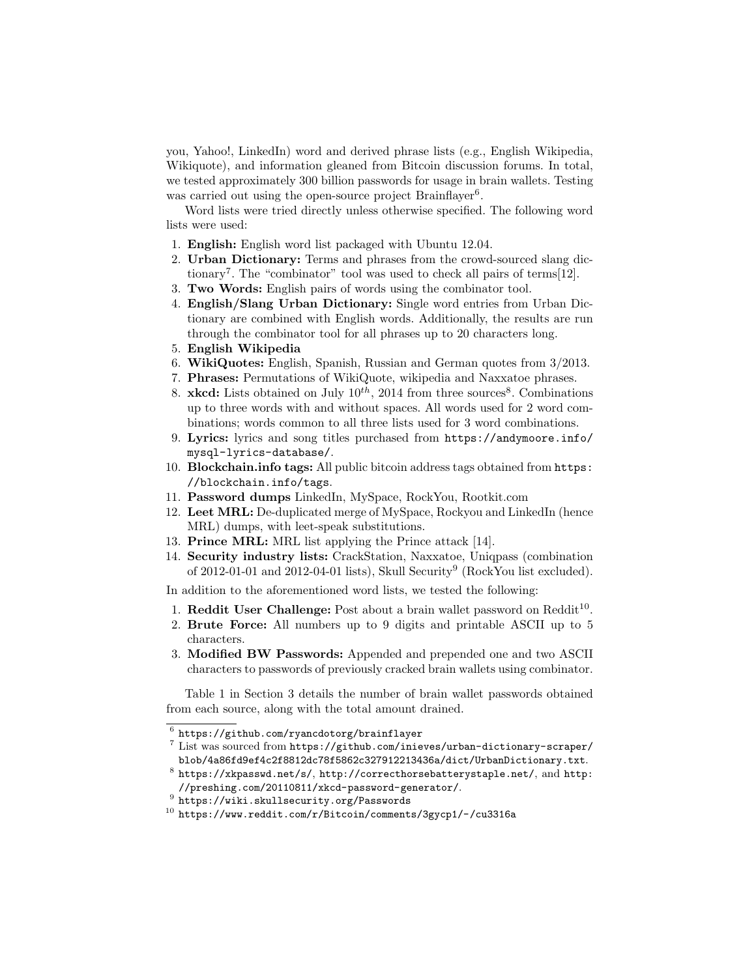you, Yahoo!, LinkedIn) word and derived phrase lists (e.g., English Wikipedia, Wikiquote), and information gleaned from Bitcoin discussion forums. In total, we tested approximately 300 billion passwords for usage in brain wallets. Testing was carried out using the open-source project Brainflayer<sup>6</sup>.

Word lists were tried directly unless otherwise specified. The following word lists were used:

- 1. English: English word list packaged with Ubuntu 12.04.
- 2. Urban Dictionary: Terms and phrases from the crowd-sourced slang dictionary<sup>7</sup>. The "combinator" tool was used to check all pairs of terms[12].
- 3. Two Words: English pairs of words using the combinator tool.
- 4. English/Slang Urban Dictionary: Single word entries from Urban Dictionary are combined with English words. Additionally, the results are run through the combinator tool for all phrases up to 20 characters long.
- 5. English Wikipedia
- 6. WikiQuotes: English, Spanish, Russian and German quotes from 3/2013.
- 7. Phrases: Permutations of WikiQuote, wikipedia and Naxxatoe phrases.
- 8. **xkcd:** Lists obtained on July  $10^{th}$ , 2014 from three sources<sup>8</sup>. Combinations up to three words with and without spaces. All words used for 2 word combinations; words common to all three lists used for 3 word combinations.
- 9. Lyrics: lyrics and song titles purchased from https://andymoore.info/ mysql-lyrics-database/.
- 10. Blockchain.info tags: All public bitcoin address tags obtained from https: //blockchain.info/tags.
- 11. Password dumps LinkedIn, MySpace, RockYou, Rootkit.com
- 12. Leet MRL: De-duplicated merge of MySpace, Rockyou and LinkedIn (hence MRL) dumps, with leet-speak substitutions.
- 13. Prince MRL: MRL list applying the Prince attack [14].
- 14. Security industry lists: CrackStation, Naxxatoe, Uniqpass (combination of  $2012-01-01$  and  $2012-04-01$  lists), Skull Security<sup>9</sup> (RockYou list excluded).

In addition to the aforementioned word lists, we tested the following:

- 1. Reddit User Challenge: Post about a brain wallet password on  $\text{Reddit}^{10}$ .
- 2. Brute Force: All numbers up to 9 digits and printable ASCII up to 5 characters.
- 3. Modified BW Passwords: Appended and prepended one and two ASCII characters to passwords of previously cracked brain wallets using combinator.

Table 1 in Section 3 details the number of brain wallet passwords obtained from each source, along with the total amount drained.

 $7$  List was sourced from https://github.com/inieves/urban-dictionary-scraper/ blob/4a86fd9ef4c2f8812dc78f5862c327912213436a/dict/UrbanDictionary.txt.

- $^9$  https://wiki.skullsecurity.org/Passwords
- <sup>10</sup> https://www.reddit.com/r/Bitcoin/comments/3gycp1/-/cu3316a

 $^6$  https://github.com/ryancdotorg/brainflayer

 $^8$  https://xkpasswd.net/s/, http://correcthorsebatterystaple.net/, and http: //preshing.com/20110811/xkcd-password-generator/.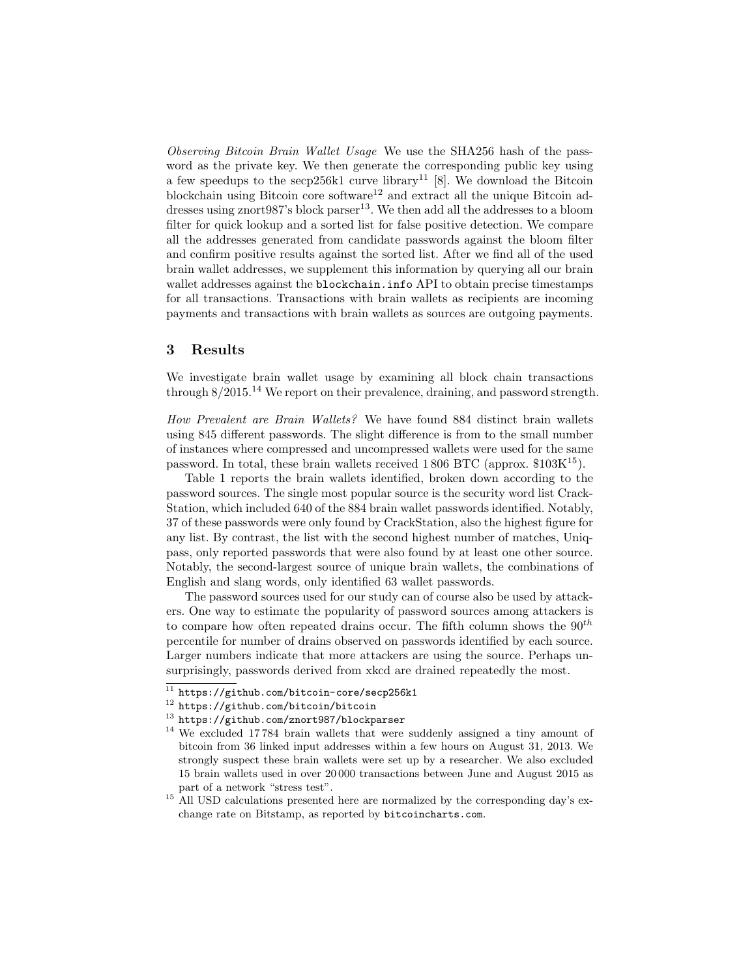Observing Bitcoin Brain Wallet Usage We use the SHA256 hash of the password as the private key. We then generate the corresponding public key using a few speedups to the secp256k1 curve library<sup>11</sup> [8]. We download the Bitcoin blockchain using Bitcoin core software<sup>12</sup> and extract all the unique Bitcoin addresses using znort $987$ 's block parser<sup>13</sup>. We then add all the addresses to a bloom filter for quick lookup and a sorted list for false positive detection. We compare all the addresses generated from candidate passwords against the bloom filter and confirm positive results against the sorted list. After we find all of the used brain wallet addresses, we supplement this information by querying all our brain wallet addresses against the blockchain.info API to obtain precise timestamps for all transactions. Transactions with brain wallets as recipients are incoming payments and transactions with brain wallets as sources are outgoing payments.

#### 3 Results

We investigate brain wallet usage by examining all block chain transactions through  $8/2015<sup>14</sup>$  We report on their prevalence, draining, and password strength.

How Prevalent are Brain Wallets? We have found 884 distinct brain wallets using 845 different passwords. The slight difference is from to the small number of instances where compressed and uncompressed wallets were used for the same password. In total, these brain wallets received  $1\,806$  BTC (approx. \$103K<sup>15</sup>).

Table 1 reports the brain wallets identified, broken down according to the password sources. The single most popular source is the security word list Crack-Station, which included 640 of the 884 brain wallet passwords identified. Notably, 37 of these passwords were only found by CrackStation, also the highest figure for any list. By contrast, the list with the second highest number of matches, Uniqpass, only reported passwords that were also found by at least one other source. Notably, the second-largest source of unique brain wallets, the combinations of English and slang words, only identified 63 wallet passwords.

The password sources used for our study can of course also be used by attackers. One way to estimate the popularity of password sources among attackers is to compare how often repeated drains occur. The fifth column shows the  $90^{th}$ percentile for number of drains observed on passwords identified by each source. Larger numbers indicate that more attackers are using the source. Perhaps unsurprisingly, passwords derived from xkcd are drained repeatedly the most.

 $11$  https://github.com/bitcoin-core/secp256k1

<sup>12</sup> https://github.com/bitcoin/bitcoin

<sup>13</sup> https://github.com/znort987/blockparser

<sup>&</sup>lt;sup>14</sup> We excluded 17784 brain wallets that were suddenly assigned a tiny amount of bitcoin from 36 linked input addresses within a few hours on August 31, 2013. We strongly suspect these brain wallets were set up by a researcher. We also excluded 15 brain wallets used in over 20 000 transactions between June and August 2015 as part of a network "stress test".

<sup>&</sup>lt;sup>15</sup> All USD calculations presented here are normalized by the corresponding day's exchange rate on Bitstamp, as reported by bitcoincharts.com.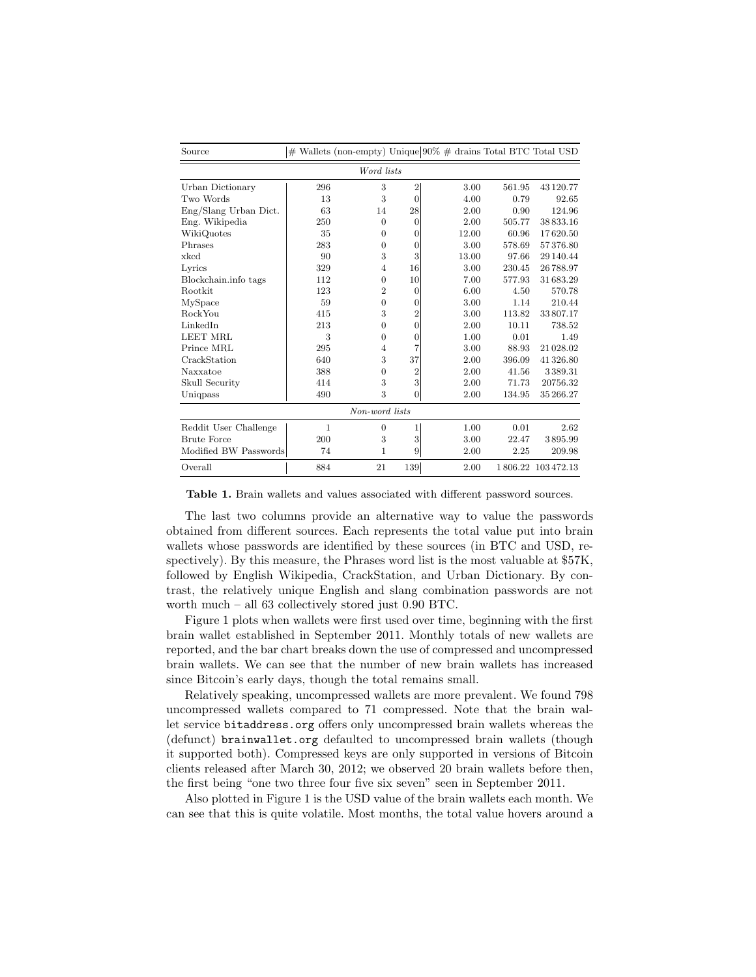| Source                |     |                  |                  | $#$ Wallets (non-empty) Unique $90\%$ # drains Total BTC Total USD |        |                   |  |  |  |  |
|-----------------------|-----|------------------|------------------|--------------------------------------------------------------------|--------|-------------------|--|--|--|--|
| Word lists            |     |                  |                  |                                                                    |        |                   |  |  |  |  |
| Urban Dictionary      | 296 | 3                | $\overline{2}$   | 3.00                                                               | 561.95 | 43 120.77         |  |  |  |  |
| Two Words             | 13  | 3                | $\overline{0}$   | 4.00                                                               | 0.79   | 92.65             |  |  |  |  |
| Eng/Slang Urban Dict. | 63  | 14               | 28               | 2.00                                                               | 0.90   | 124.96            |  |  |  |  |
| Eng. Wikipedia        | 250 | $\theta$         | $\theta$         | 2.00                                                               | 505.77 | 38833.16          |  |  |  |  |
| WikiQuotes            | 35  | $\overline{0}$   | $\theta$         | 12.00                                                              | 60.96  | 17620.50          |  |  |  |  |
| Phrases               | 283 | $\overline{0}$   | $\theta$         | 3.00                                                               | 578.69 | 57376.80          |  |  |  |  |
| xkcd                  | 90  | 3                | 3                | 13.00                                                              | 97.66  | 29 140.44         |  |  |  |  |
| Lyrics                | 329 | $\overline{4}$   | 16               | 3.00                                                               | 230.45 | 26788.97          |  |  |  |  |
| Blockchain.info tags  | 112 | $\boldsymbol{0}$ | 10               | 7.00                                                               | 577.93 | 31683.29          |  |  |  |  |
| Rootkit               | 123 | $\overline{2}$   | $\theta$         | 6.00                                                               | 4.50   | 570.78            |  |  |  |  |
| MySpace               | 59  | $\overline{0}$   | $\theta$         | 3.00                                                               | 1.14   | 210.44            |  |  |  |  |
| RockYou               | 415 | 3                | $\overline{2}$   | 3.00                                                               | 113.82 | 33807.17          |  |  |  |  |
| LinkedIn              | 213 | $\overline{0}$   | $\overline{0}$   | 2.00                                                               | 10.11  | 738.52            |  |  |  |  |
| <b>LEET MRL</b>       | 3   | $\mathbf{0}$     | $\mathbf{0}$     | 1.00                                                               | 0.01   | 1.49              |  |  |  |  |
| Prince MRL            | 295 | $\overline{4}$   | 7                | 3.00                                                               | 88.93  | 21028.02          |  |  |  |  |
| CrackStation          | 640 | 3                | 37               | 2.00                                                               | 396.09 | 41 326.80         |  |  |  |  |
| Naxxatoe              | 388 | $\theta$         | $\overline{2}$   | 2.00                                                               | 41.56  | 3389.31           |  |  |  |  |
| Skull Security        | 414 | 3                | 3                | 2.00                                                               | 71.73  | 20756.32          |  |  |  |  |
| Uniqpass              | 490 | 3                | $\boldsymbol{0}$ | 2.00                                                               | 134.95 | 35 266.27         |  |  |  |  |
| Non-word lists        |     |                  |                  |                                                                    |        |                   |  |  |  |  |
| Reddit User Challenge | 1   | $\theta$         | 1                | 1.00                                                               | 0.01   | 2.62              |  |  |  |  |
| <b>Brute Force</b>    | 200 | 3                | 3                | 3.00                                                               | 22.47  | 3895.99           |  |  |  |  |
| Modified BW Passwords | 74  | 1                | 9                | 2.00                                                               | 2.25   | 209.98            |  |  |  |  |
| Overall               | 884 | 21               | 139              | 2.00                                                               |        | 1806.22 103472.13 |  |  |  |  |

Table 1. Brain wallets and values associated with different password sources.

The last two columns provide an alternative way to value the passwords obtained from different sources. Each represents the total value put into brain wallets whose passwords are identified by these sources (in BTC and USD, respectively). By this measure, the Phrases word list is the most valuable at \$57K, followed by English Wikipedia, CrackStation, and Urban Dictionary. By contrast, the relatively unique English and slang combination passwords are not worth much – all 63 collectively stored just 0.90 BTC.

Figure 1 plots when wallets were first used over time, beginning with the first brain wallet established in September 2011. Monthly totals of new wallets are reported, and the bar chart breaks down the use of compressed and uncompressed brain wallets. We can see that the number of new brain wallets has increased since Bitcoin's early days, though the total remains small.

Relatively speaking, uncompressed wallets are more prevalent. We found 798 uncompressed wallets compared to 71 compressed. Note that the brain wallet service bitaddress.org offers only uncompressed brain wallets whereas the (defunct) brainwallet.org defaulted to uncompressed brain wallets (though it supported both). Compressed keys are only supported in versions of Bitcoin clients released after March 30, 2012; we observed 20 brain wallets before then, the first being "one two three four five six seven" seen in September 2011.

Also plotted in Figure 1 is the USD value of the brain wallets each month. We can see that this is quite volatile. Most months, the total value hovers around a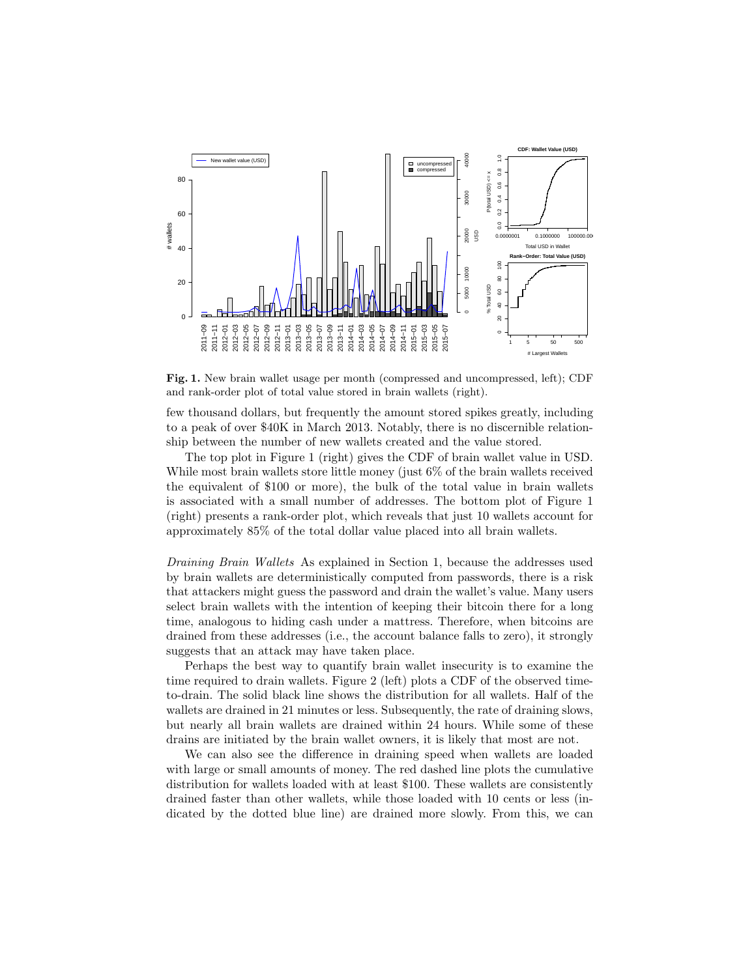

Fig. 1. New brain wallet usage per month (compressed and uncompressed, left); CDF and rank-order plot of total value stored in brain wallets (right).

few thousand dollars, but frequently the amount stored spikes greatly, including to a peak of over \$40K in March 2013. Notably, there is no discernible relationship between the number of new wallets created and the value stored.

The top plot in Figure 1 (right) gives the CDF of brain wallet value in USD. While most brain wallets store little money (just 6\%) of the brain wallets received the equivalent of \$100 or more), the bulk of the total value in brain wallets is associated with a small number of addresses. The bottom plot of Figure 1 (right) presents a rank-order plot, which reveals that just 10 wallets account for approximately 85% of the total dollar value placed into all brain wallets.

Draining Brain Wallets As explained in Section 1, because the addresses used by brain wallets are deterministically computed from passwords, there is a risk that attackers might guess the password and drain the wallet's value. Many users select brain wallets with the intention of keeping their bitcoin there for a long time, analogous to hiding cash under a mattress. Therefore, when bitcoins are drained from these addresses (i.e., the account balance falls to zero), it strongly suggests that an attack may have taken place.

Perhaps the best way to quantify brain wallet insecurity is to examine the time required to drain wallets. Figure 2 (left) plots a CDF of the observed timeto-drain. The solid black line shows the distribution for all wallets. Half of the wallets are drained in 21 minutes or less. Subsequently, the rate of draining slows, but nearly all brain wallets are drained within 24 hours. While some of these drains are initiated by the brain wallet owners, it is likely that most are not.

We can also see the difference in draining speed when wallets are loaded with large or small amounts of money. The red dashed line plots the cumulative distribution for wallets loaded with at least \$100. These wallets are consistently drained faster than other wallets, while those loaded with 10 cents or less (indicated by the dotted blue line) are drained more slowly. From this, we can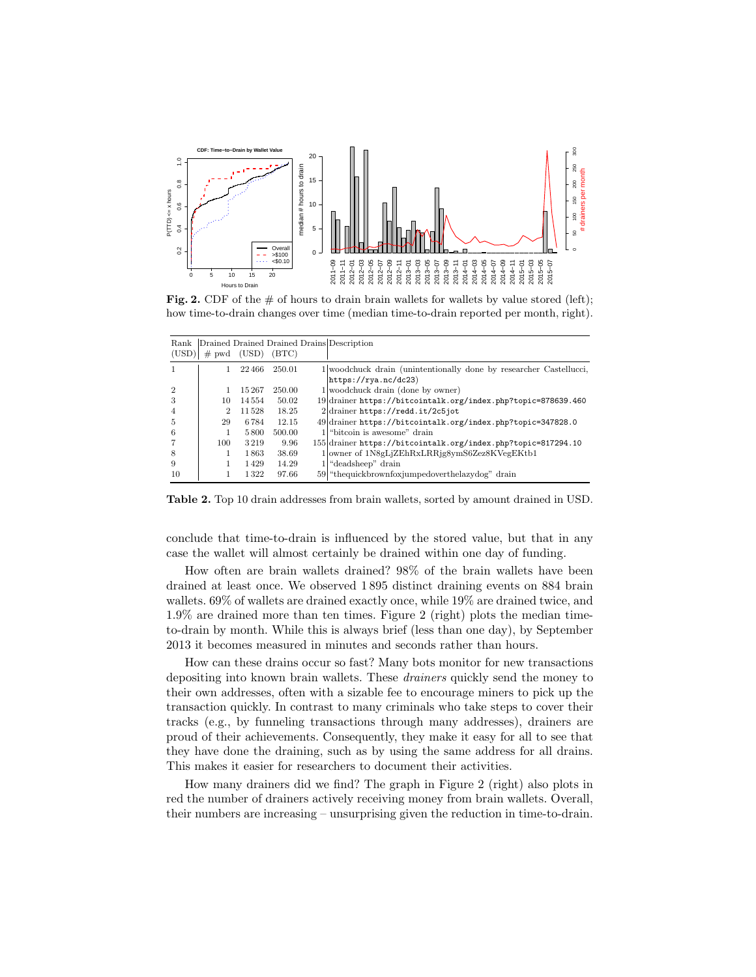

Fig. 2. CDF of the  $\#$  of hours to drain brain wallets for wallets by value stored (left); how time-to-drain changes over time (median time-to-drain reported per month, right).

| Drained Drained Drained Drains Description<br>Rank |     |               |        |                                                                    |  |  |  |
|----------------------------------------------------|-----|---------------|--------|--------------------------------------------------------------------|--|--|--|
| (USD)                                              |     | $#$ pwd (USD) | (BTC)  |                                                                    |  |  |  |
|                                                    |     | 22466         | 250.01 | 1 woodchuck drain (unintentionally done by researcher Castellucci, |  |  |  |
|                                                    |     |               |        | https://rya.nc/dc23)                                               |  |  |  |
| $\mathfrak{D}$                                     |     | 15267         | 250.00 | $1$ woodchuck drain (done by owner)                                |  |  |  |
|                                                    | 10  | 14554         | 50.02  | 19 drainer https://bitcointalk.org/index.php?topic=878639.460      |  |  |  |
| 4                                                  | 2   | 11528         | 18.25  | 2 drainer https://redd.it/2c5jot                                   |  |  |  |
| 5                                                  | 29  | 6784          | 12.15  | 49 drainer https://bitcointalk.org/index.php?topic=347828.0        |  |  |  |
| 6                                                  |     | 5800          | 500.00 | 1 "bitcoin is awesome" drain                                       |  |  |  |
|                                                    | 100 | 3219          | 9.96   | 155 drainer https://bitcointalk.org/index.php?topic=817294.10      |  |  |  |
| 8                                                  |     | 1863          | 38.69  | 1 owner of 1N8gLjZEhRxLRRjg8ymS6Zez8KVegEKtb1                      |  |  |  |
| 9                                                  |     | 1429          | 14.29  | $1$ <sup>"</sup> deadsheep" drain                                  |  |  |  |
| 10                                                 |     | 1322          | 97.66  | 59 "thequickbrownfoxjumpedoverthelazydog" drain                    |  |  |  |

Table 2. Top 10 drain addresses from brain wallets, sorted by amount drained in USD.

conclude that time-to-drain is influenced by the stored value, but that in any case the wallet will almost certainly be drained within one day of funding.

How often are brain wallets drained? 98% of the brain wallets have been drained at least once. We observed 1 895 distinct draining events on 884 brain wallets. 69% of wallets are drained exactly once, while 19% are drained twice, and 1.9% are drained more than ten times. Figure 2 (right) plots the median timeto-drain by month. While this is always brief (less than one day), by September 2013 it becomes measured in minutes and seconds rather than hours.

How can these drains occur so fast? Many bots monitor for new transactions depositing into known brain wallets. These drainers quickly send the money to their own addresses, often with a sizable fee to encourage miners to pick up the transaction quickly. In contrast to many criminals who take steps to cover their tracks (e.g., by funneling transactions through many addresses), drainers are proud of their achievements. Consequently, they make it easy for all to see that they have done the draining, such as by using the same address for all drains. This makes it easier for researchers to document their activities.

How many drainers did we find? The graph in Figure 2 (right) also plots in red the number of drainers actively receiving money from brain wallets. Overall, their numbers are increasing – unsurprising given the reduction in time-to-drain.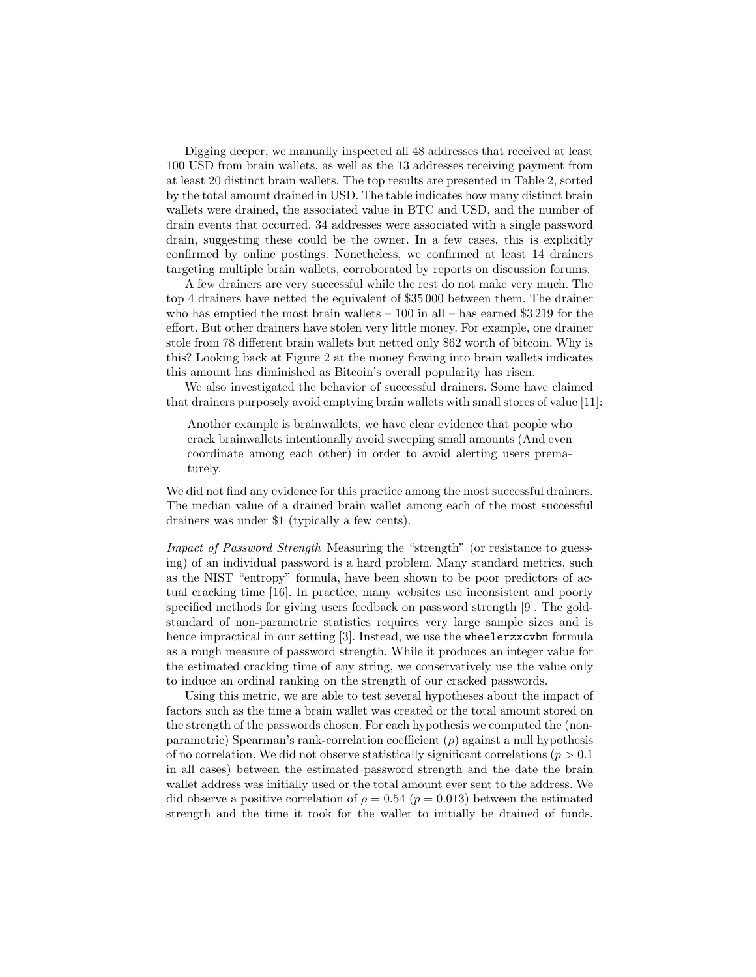Digging deeper, we manually inspected all 48 addresses that received at least 100 USD from brain wallets, as well as the 13 addresses receiving payment from at least 20 distinct brain wallets. The top results are presented in Table 2, sorted by the total amount drained in USD. The table indicates how many distinct brain wallets were drained, the associated value in BTC and USD, and the number of drain events that occurred. 34 addresses were associated with a single password drain, suggesting these could be the owner. In a few cases, this is explicitly confirmed by online postings. Nonetheless, we confirmed at least 14 drainers targeting multiple brain wallets, corroborated by reports on discussion forums.

A few drainers are very successful while the rest do not make very much. The top 4 drainers have netted the equivalent of \$35 000 between them. The drainer who has emptied the most brain wallets  $-100$  in all – has earned \$3 219 for the effort. But other drainers have stolen very little money. For example, one drainer stole from 78 different brain wallets but netted only \$62 worth of bitcoin. Why is this? Looking back at Figure 2 at the money flowing into brain wallets indicates this amount has diminished as Bitcoin's overall popularity has risen.

We also investigated the behavior of successful drainers. Some have claimed that drainers purposely avoid emptying brain wallets with small stores of value [11]:

Another example is brainwallets, we have clear evidence that people who crack brainwallets intentionally avoid sweeping small amounts (And even coordinate among each other) in order to avoid alerting users prematurely.

We did not find any evidence for this practice among the most successful drainers. The median value of a drained brain wallet among each of the most successful drainers was under \$1 (typically a few cents).

Impact of Password Strength Measuring the "strength" (or resistance to guessing) of an individual password is a hard problem. Many standard metrics, such as the NIST "entropy" formula, have been shown to be poor predictors of actual cracking time [16]. In practice, many websites use inconsistent and poorly specified methods for giving users feedback on password strength [9]. The goldstandard of non-parametric statistics requires very large sample sizes and is hence impractical in our setting [3]. Instead, we use the wheelerzxcvbn formula as a rough measure of password strength. While it produces an integer value for the estimated cracking time of any string, we conservatively use the value only to induce an ordinal ranking on the strength of our cracked passwords.

Using this metric, we are able to test several hypotheses about the impact of factors such as the time a brain wallet was created or the total amount stored on the strength of the passwords chosen. For each hypothesis we computed the (nonparametric) Spearman's rank-correlation coefficient  $(\rho)$  against a null hypothesis of no correlation. We did not observe statistically significant correlations ( $p > 0.1$ ) in all cases) between the estimated password strength and the date the brain wallet address was initially used or the total amount ever sent to the address. We did observe a positive correlation of  $\rho = 0.54$  ( $p = 0.013$ ) between the estimated strength and the time it took for the wallet to initially be drained of funds.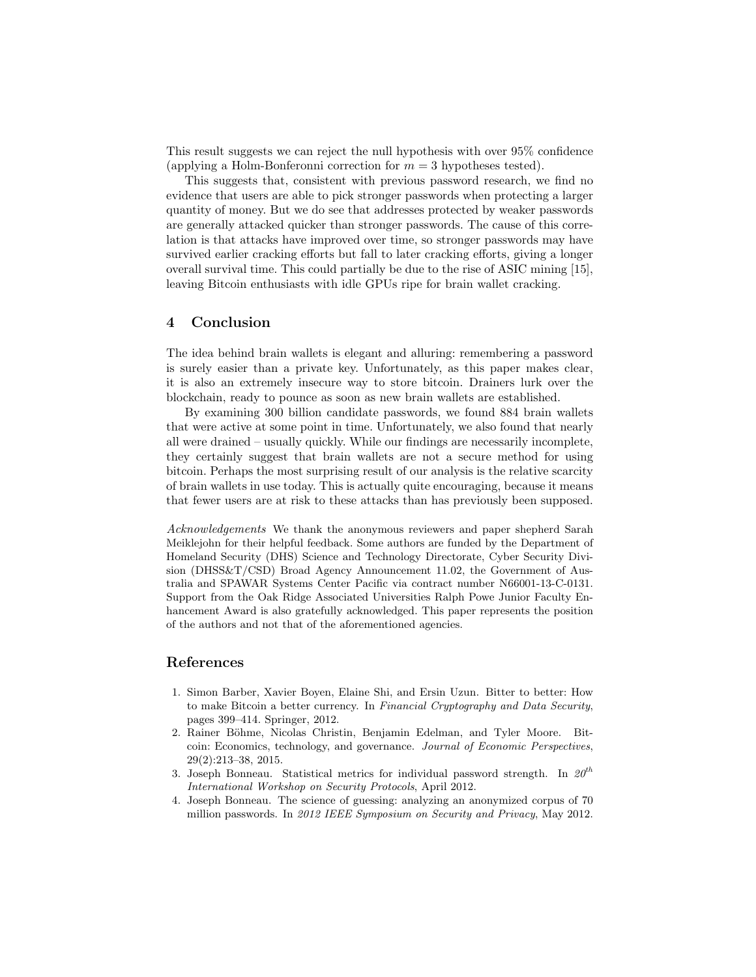This result suggests we can reject the null hypothesis with over 95% confidence (applying a Holm-Bonferonni correction for  $m = 3$  hypotheses tested).

This suggests that, consistent with previous password research, we find no evidence that users are able to pick stronger passwords when protecting a larger quantity of money. But we do see that addresses protected by weaker passwords are generally attacked quicker than stronger passwords. The cause of this correlation is that attacks have improved over time, so stronger passwords may have survived earlier cracking efforts but fall to later cracking efforts, giving a longer overall survival time. This could partially be due to the rise of ASIC mining [15], leaving Bitcoin enthusiasts with idle GPUs ripe for brain wallet cracking.

#### 4 Conclusion

The idea behind brain wallets is elegant and alluring: remembering a password is surely easier than a private key. Unfortunately, as this paper makes clear, it is also an extremely insecure way to store bitcoin. Drainers lurk over the blockchain, ready to pounce as soon as new brain wallets are established.

By examining 300 billion candidate passwords, we found 884 brain wallets that were active at some point in time. Unfortunately, we also found that nearly all were drained – usually quickly. While our findings are necessarily incomplete, they certainly suggest that brain wallets are not a secure method for using bitcoin. Perhaps the most surprising result of our analysis is the relative scarcity of brain wallets in use today. This is actually quite encouraging, because it means that fewer users are at risk to these attacks than has previously been supposed.

Acknowledgements We thank the anonymous reviewers and paper shepherd Sarah Meiklejohn for their helpful feedback. Some authors are funded by the Department of Homeland Security (DHS) Science and Technology Directorate, Cyber Security Division (DHSS&T/CSD) Broad Agency Announcement 11.02, the Government of Australia and SPAWAR Systems Center Pacific via contract number N66001-13-C-0131. Support from the Oak Ridge Associated Universities Ralph Powe Junior Faculty Enhancement Award is also gratefully acknowledged. This paper represents the position of the authors and not that of the aforementioned agencies.

### References

- 1. Simon Barber, Xavier Boyen, Elaine Shi, and Ersin Uzun. Bitter to better: How to make Bitcoin a better currency. In Financial Cryptography and Data Security, pages 399–414. Springer, 2012.
- 2. Rainer Böhme, Nicolas Christin, Benjamin Edelman, and Tyler Moore. Bitcoin: Economics, technology, and governance. Journal of Economic Perspectives, 29(2):213–38, 2015.
- 3. Joseph Bonneau. Statistical metrics for individual password strength. In  $20^{th}$ International Workshop on Security Protocols, April 2012.
- 4. Joseph Bonneau. The science of guessing: analyzing an anonymized corpus of 70 million passwords. In 2012 IEEE Symposium on Security and Privacy, May 2012.